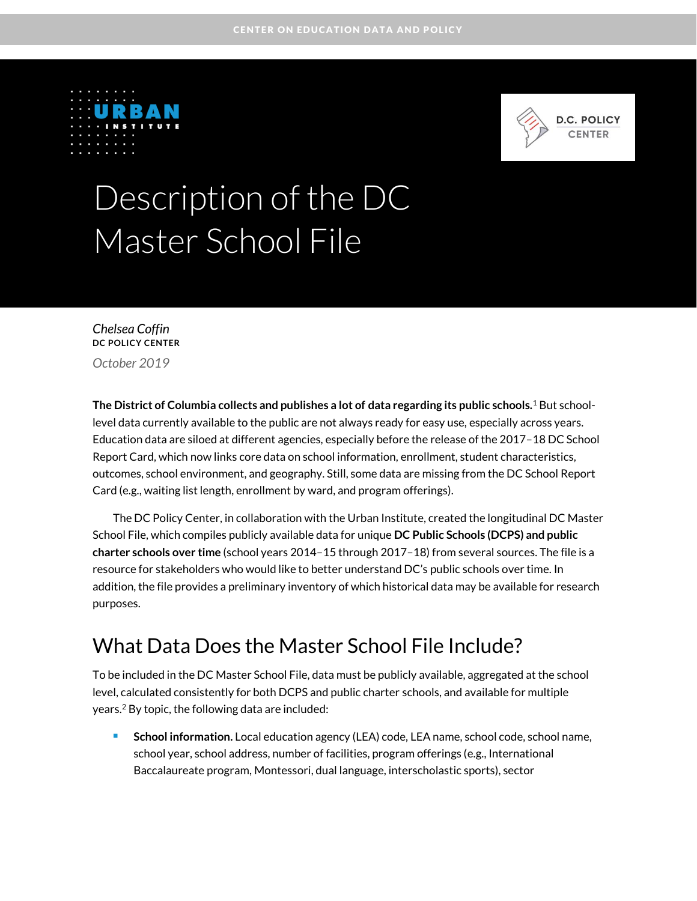



# Description of the DC Master School File

*Chelsea Coffin* **DC POLICY CENTER**

*October 2019*

**The District of Columbia collects and publishes a lot of data regarding its public schools.**<sup>1</sup> But schoollevel data currently available to the public are not always ready for easy use, especially across years. Education data are siloed at different agencies, especially before the release of the 2017–18 DC School Report Card, which now links core data on school information, enrollment, student characteristics, outcomes, school environment, and geography. Still, some data are missing from the DC School Report Card (e.g., waiting list length, enrollment by ward, and program offerings).

The DC Policy Center, in collaboration with the Urban Institute, created the longitudinal DC Master School File, which compiles publicly available data for unique **DC Public Schools (DCPS) and public charter schools over time** (school years 2014–15 through 2017–18) from several sources. The file is a resource for stakeholders who would like to better understand DC's public schools over time. In addition, the file provides a preliminary inventory of which historical data may be available for research purposes.

### What Data Does the Master School File Include?

To be included in the DC Master School File, data must be publicly available, aggregated at the school level, calculated consistently for both DCPS and public charter schools, and available for multiple years.<sup>2</sup> By topic, the following data are included:

 **School information.** Local education agency (LEA) code, LEA name, school code, school name, school year, school address, number of facilities, program offerings (e.g., International Baccalaureate program, Montessori, dual language, interscholastic sports), sector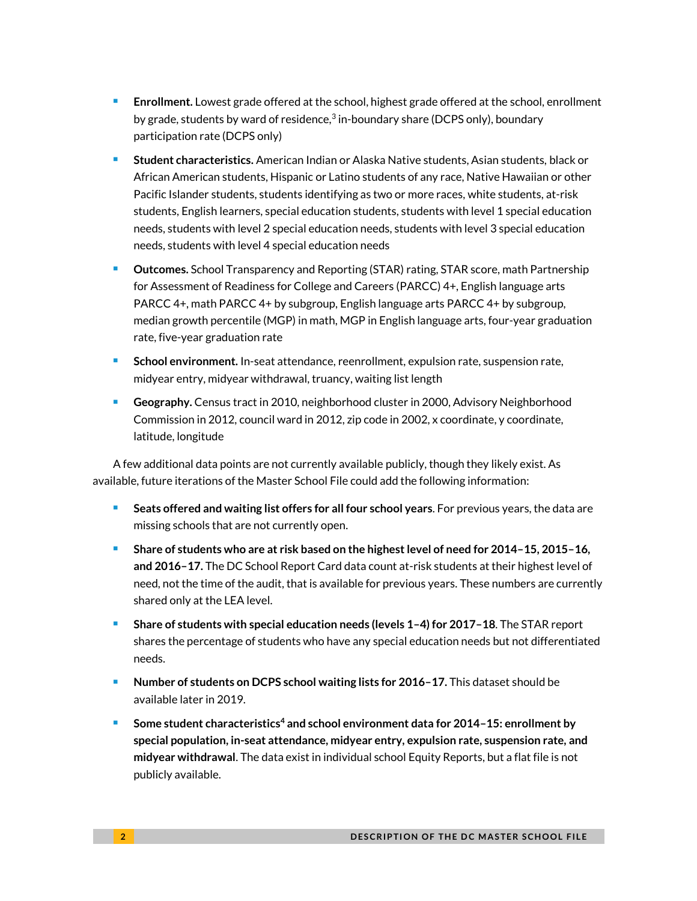- **Enrollment.** Lowest grade offered at the school, highest grade offered at the school, enrollment by grade, students by ward of residence,<sup>3</sup> in-boundary share (DCPS only), boundary participation rate (DCPS only)
- **Student characteristics.** American Indian or Alaska Native students, Asian students, black or African American students, Hispanic or Latino students of any race, Native Hawaiian or other Pacific Islander students, students identifying as two or more races, white students, at-risk students, English learners, special education students, students with level 1 special education needs, students with level 2 special education needs, students with level 3 special education needs, students with level 4 special education needs
- **Outcomes.** School Transparency and Reporting (STAR) rating, STAR score, math Partnership for Assessment of Readiness for College and Careers (PARCC) 4+, English language arts PARCC 4+, math PARCC 4+ by subgroup, English language arts PARCC 4+ by subgroup, median growth percentile (MGP) in math, MGP in English language arts, four-year graduation rate, five-year graduation rate
- **School environment.** In-seat attendance, reenrollment, expulsion rate, suspension rate, midyear entry, midyear withdrawal, truancy, waiting list length
- **Geography.** Census tract in 2010, neighborhood cluster in 2000, Advisory Neighborhood Commission in 2012, council ward in 2012, zip code in 2002, x coordinate, y coordinate, latitude, longitude

A few additional data points are not currently available publicly, though they likely exist. As available, future iterations of the Master School File could add the following information:

- **Seats offered and waiting list offers for all four school years**. For previous years, the data are missing schools that are not currently open.
- **Share of students who are at risk based on the highest level of need for 2014–15, 2015–16, and 2016–17.** The DC School Report Card data count at-risk students at their highest level of need, not the time of the audit, that is available for previous years. These numbers are currently shared only at the LEA level.
- **Share of students with special education needs (levels 1–4) for 2017–18**. The STAR report shares the percentage of students who have any special education needs but not differentiated needs.
- **Number of students on DCPS school waiting lists for 2016–17.** This dataset should be available later in 2019.
- **Some student characteristics<sup>4</sup> and school environment data for 2014–15: enrollment by special population, in-seat attendance, midyear entry, expulsion rate, suspension rate, and midyear withdrawal**. The data exist in individual school Equity Reports, but a flat file is not publicly available.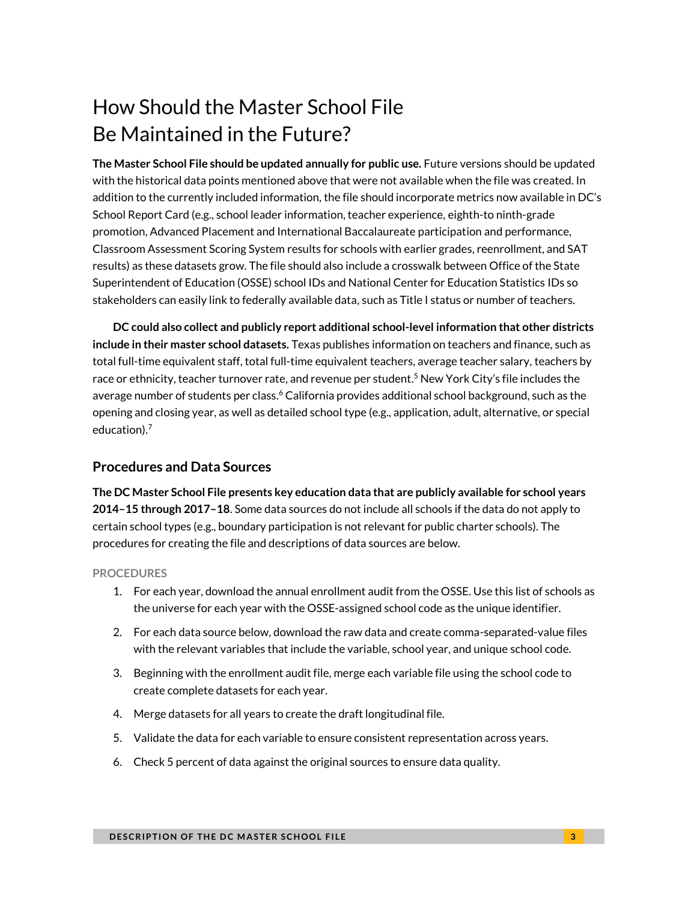# How Should the Master School File Be Maintained in the Future?

**The Master School File should be updated annually for public use.** Future versions should be updated with the historical data points mentioned above that were not available when the file was created. In addition to the currently included information, the file should incorporate metrics now available in DC's School Report Card (e.g., school leader information, teacher experience, eighth-to ninth-grade promotion, Advanced Placement and International Baccalaureate participation and performance, Classroom Assessment Scoring System results for schools with earlier grades, reenrollment, and SAT results) as these datasets grow. The file should also include a crosswalk between Office of the State Superintendent of Education (OSSE) school IDs and National Center for Education Statistics IDs so stakeholders can easily link to federally available data, such as Title I status or number of teachers.

**DC could also collect and publicly report additional school-level information that other districts include in their master school datasets.** Texas publishes information on teachers and finance, such as total full-time equivalent staff, total full-time equivalent teachers, average teacher salary, teachers by race or ethnicity, teacher turnover rate, and revenue per student. <sup>5</sup> New York City's file includes the average number of students per class. <sup>6</sup> California provides additional school background, such as the opening and closing year, as well as detailed school type (e.g., application, adult, alternative, or special education). 7

### **Procedures and Data Sources**

**The DC Master School File presents key education data that are publicly available for school years 2014–15 through 2017–18**. Some data sources do not include all schools if the data do not apply to certain school types (e.g., boundary participation is not relevant for public charter schools). The procedures for creating the file and descriptions of data sources are below.

### **PROCEDURES**

- **1.** For each year, download the annual enrollment audit from the OSSE. Use this list of schools as the universe for each year with the OSSE-assigned school code as the unique identifier.
- **2.** For each data source below, download the raw data and create comma-separated-value files with the relevant variables that include the variable, school year, and unique school code.
- **3.** Beginning with the enrollment audit file, merge each variable file using the school code to create complete datasets for each year.
- **4.** Merge datasets for all years to create the draft longitudinal file.
- **5.** Validate the data for each variable to ensure consistent representation across years.
- **6.** Check 5 percent of data against the original sources to ensure data quality.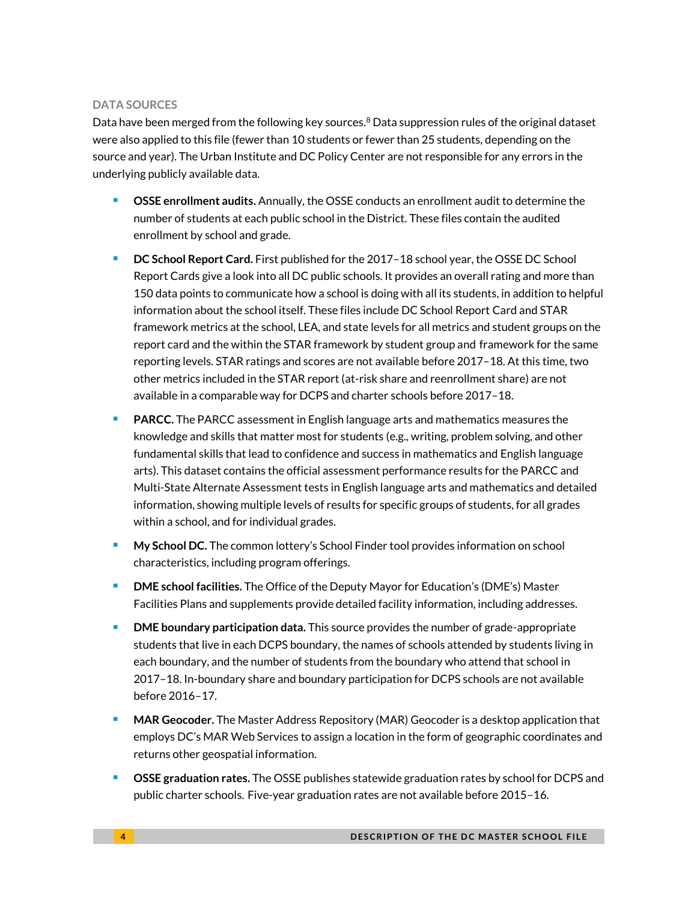### **DATA SOURCES**

Data have been merged from the following key sources.<sup>8</sup> Data suppression rules of the original dataset were also applied to this file (fewer than 10 students or fewer than 25 students, depending on the source and year). The Urban Institute and DC Policy Center are not responsible for any errors in the underlying publicly available data.

- **OSSE enrollment audits.** Annually, the OSSE conducts an enrollment audit to determine the number of students at each public school in the District. These files contain the audited enrollment by school and grade.
- **DC School Report Card.** First published for the 2017–18 school year, the OSSE DC School Report Cards give a look into all DC public schools. It provides an overall rating and more than 150 data points to communicate how a school is doing with all its students, in addition to helpful information about the school itself. These files include DC School Report Card and STAR framework metrics at the school, LEA, and state levels for all metrics and student groups on the report card and the within the STAR framework by student group and framework for the same reporting levels. STAR ratings and scores are not available before 2017–18. At this time, two other metrics included in the STAR report (at-risk share and reenrollment share) are not available in a comparable way for DCPS and charter schools before 2017–18.
- **PARCC.** The PARCC assessment in English language arts and mathematics measures the knowledge and skills that matter most for students (e.g., writing, problem solving, and other fundamental skills that lead to confidence and success in mathematics and English language arts). This dataset contains the official assessment performance results for the PARCC and Multi-State Alternate Assessment tests in English language arts and mathematics and detailed information, showing multiple levels of results for specific groups of students, for all grades within a school, and for individual grades.
- **My School DC.** The common lottery's School Finder tool provides information on school characteristics, including program offerings.
- **DME school facilities.** The Office of the Deputy Mayor for Education's (DME's) Master Facilities Plans and supplements provide detailed facility information, including addresses.
- **DME boundary participation data.** This source provides the number of grade-appropriate students that live in each DCPS boundary, the names of schools attended by students living in each boundary, and the number of students from the boundary who attend that school in 2017–18. In-boundary share and boundary participation for DCPS schools are not available before 2016–17.
- **MAR Geocoder.** The Master Address Repository (MAR) Geocoder is a desktop application that employs DC's MAR Web Services to assign a location in the form of geographic coordinates and returns other geospatial information.
- **OSSE graduation rates.** The OSSE publishes statewide graduation rates by school for DCPS and public charter schools. Five-year graduation rates are not available before 2015–16.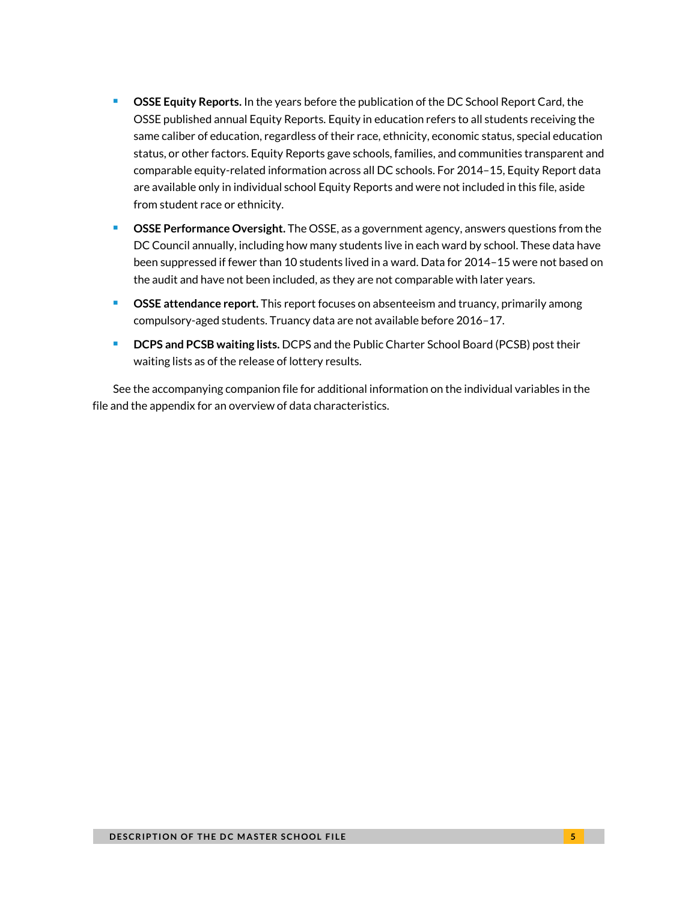- **CSSE Equity Reports.** In the years before the publication of the DC School Report Card, the OSSE published annual Equity Reports. Equity in education refers to all students receiving the same caliber of education, regardless of their race, ethnicity, economic status, special education status, or other factors. Equity Reports gave schools, families, and communities transparent and comparable equity-related information across all DC schools. For 2014–15, Equity Report data are available only in individual school Equity Reports and were not included in this file, aside from student race or ethnicity.
- **CSSE Performance Oversight.** The OSSE, as a government agency, answers questions from the DC Council annually, including how many students live in each ward by school. These data have been suppressed if fewer than 10 students lived in a ward. Data for 2014–15 were not based on the audit and have not been included, as they are not comparable with later years.
- **CSSE attendance report.** This report focuses on absenteeism and truancy, primarily among compulsory-aged students. Truancy data are not available before 2016–17.
- **DCPS and PCSB waiting lists.** DCPS and the Public Charter School Board (PCSB) post their waiting lists as of the release of lottery results.

See the accompanying companion file for additional information on the individual variables in the file and the appendix for an overview of data characteristics.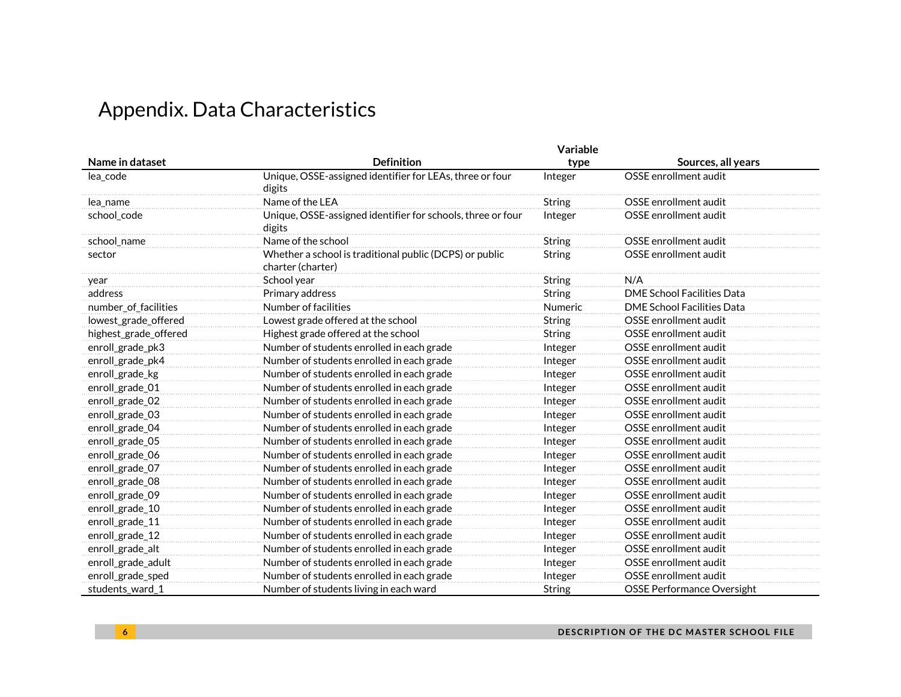# Appendix. Data Characteristics

|                       | Variable                                                                     |               |                                   |
|-----------------------|------------------------------------------------------------------------------|---------------|-----------------------------------|
| Name in dataset       | <b>Definition</b>                                                            | type          | Sources, all years                |
| lea_code              | Unique, OSSE-assigned identifier for LEAs, three or four<br>digits           | Integer       | OSSE enrollment audit             |
| lea_name              | Name of the LEA                                                              | <b>String</b> | OSSE enrollment audit             |
| school_code           | Unique, OSSE-assigned identifier for schools, three or four<br>digits        | Integer       | OSSE enrollment audit             |
| school_name           | Name of the school                                                           | String        | OSSE enrollment audit             |
| sector                | Whether a school is traditional public (DCPS) or public<br>charter (charter) | String        | OSSE enrollment audit             |
| year                  | School year                                                                  | String        | N/A                               |
| address               | Primary address                                                              | <b>String</b> | DME School Facilities Data        |
| number_of_facilities  | Number of facilities                                                         | Numeric       | <b>DME School Facilities Data</b> |
| lowest_grade_offered  | Lowest grade offered at the school                                           | <b>String</b> | OSSE enrollment audit             |
| highest_grade_offered | Highest grade offered at the school                                          | <b>String</b> | OSSE enrollment audit             |
| enroll_grade_pk3      | Number of students enrolled in each grade                                    | Integer       | OSSE enrollment audit             |
| enroll_grade_pk4      | Number of students enrolled in each grade                                    | Integer       | OSSE enrollment audit             |
| enroll_grade_kg       | Number of students enrolled in each grade                                    | Integer       | OSSE enrollment audit             |
| enroll_grade_01       | Number of students enrolled in each grade                                    | Integer       | OSSE enrollment audit             |
| enroll_grade_02       | Number of students enrolled in each grade                                    | Integer       | OSSE enrollment audit             |
| enroll_grade_03       | Number of students enrolled in each grade                                    | Integer       | OSSE enrollment audit             |
| enroll_grade_04       | Number of students enrolled in each grade                                    | Integer       | OSSE enrollment audit             |
| enroll_grade_05       | Number of students enrolled in each grade                                    | Integer       | OSSE enrollment audit             |
| enroll_grade_06       | Number of students enrolled in each grade                                    | Integer       | OSSE enrollment audit             |
| enroll_grade_07       | Number of students enrolled in each grade                                    | Integer       | OSSE enrollment audit             |
| enroll_grade_08       | Number of students enrolled in each grade                                    | Integer       | OSSE enrollment audit             |
| enroll_grade_09       | Number of students enrolled in each grade                                    | Integer       | OSSE enrollment audit             |
| enroll_grade_10       | Number of students enrolled in each grade                                    | Integer       | OSSE enrollment audit             |
| enroll_grade_11       | Number of students enrolled in each grade                                    | Integer       | OSSE enrollment audit             |
| enroll_grade_12       | Number of students enrolled in each grade                                    | Integer       | OSSE enrollment audit             |
| enroll_grade_alt      | Number of students enrolled in each grade                                    | Integer       | OSSE enrollment audit             |
| enroll_grade_adult    | Number of students enrolled in each grade                                    | Integer       | OSSE enrollment audit             |
| enroll_grade_sped     | Number of students enrolled in each grade                                    | Integer       | OSSE enrollment audit             |
| students_ward_1       | Number of students living in each ward                                       | <b>String</b> | <b>OSSE Performance Oversight</b> |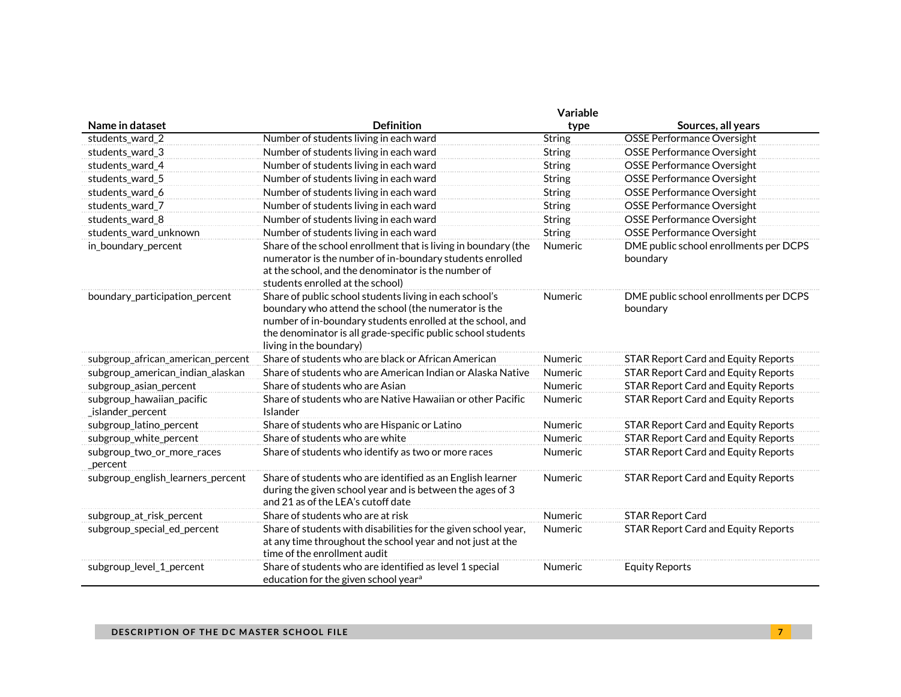|                                                | Variable                                                                                                                                                                                                                                                                 |                |                                                    |  |
|------------------------------------------------|--------------------------------------------------------------------------------------------------------------------------------------------------------------------------------------------------------------------------------------------------------------------------|----------------|----------------------------------------------------|--|
| Name in dataset                                | <b>Definition</b>                                                                                                                                                                                                                                                        | type           | Sources, all years                                 |  |
| students_ward_2                                | Number of students living in each ward                                                                                                                                                                                                                                   | <b>String</b>  | <b>OSSE Performance Oversight</b>                  |  |
| students_ward_3                                | Number of students living in each ward                                                                                                                                                                                                                                   | <b>String</b>  | <b>OSSE Performance Oversight</b>                  |  |
| students_ward_4                                | Number of students living in each ward                                                                                                                                                                                                                                   | String         | OSSE Performance Oversight                         |  |
| students_ward_5                                | Number of students living in each ward                                                                                                                                                                                                                                   | <b>String</b>  | <b>OSSE Performance Oversight</b>                  |  |
| students_ward_6                                | Number of students living in each ward                                                                                                                                                                                                                                   | <b>String</b>  | <b>OSSE Performance Oversight</b>                  |  |
| students_ward_7                                | Number of students living in each ward                                                                                                                                                                                                                                   | <b>String</b>  | OSSE Performance Oversight                         |  |
| students_ward_8                                | Number of students living in each ward                                                                                                                                                                                                                                   | <b>String</b>  | OSSE Performance Oversight                         |  |
| students_ward_unknown                          | Number of students living in each ward                                                                                                                                                                                                                                   | <b>String</b>  | <b>OSSE Performance Oversight</b>                  |  |
| in_boundary_percent                            | Share of the school enrollment that is living in boundary (the<br>numerator is the number of in-boundary students enrolled<br>at the school, and the denominator is the number of<br>students enrolled at the school)                                                    | Numeric        | DME public school enrollments per DCPS<br>boundary |  |
| boundary_participation_percent                 | Share of public school students living in each school's<br>boundary who attend the school (the numerator is the<br>number of in-boundary students enrolled at the school, and<br>the denominator is all grade-specific public school students<br>living in the boundary) | <b>Numeric</b> | DME public school enrollments per DCPS<br>boundary |  |
| subgroup_african_american_percent              | Share of students who are black or African American                                                                                                                                                                                                                      | <b>Numeric</b> | <b>STAR Report Card and Equity Reports</b>         |  |
| subgroup_american_indian_alaskan               | Share of students who are American Indian or Alaska Native                                                                                                                                                                                                               | <b>Numeric</b> | <b>STAR Report Card and Equity Reports</b>         |  |
| subgroup_asian_percent                         | Share of students who are Asian                                                                                                                                                                                                                                          | Numeric        | <b>STAR Report Card and Equity Reports</b>         |  |
| subgroup_hawaiian_pacific<br>_islander_percent | Share of students who are Native Hawaiian or other Pacific<br>Islander                                                                                                                                                                                                   | Numeric        | <b>STAR Report Card and Equity Reports</b>         |  |
| subgroup_latino_percent                        | Share of students who are Hispanic or Latino                                                                                                                                                                                                                             | Numeric        | <b>STAR Report Card and Equity Reports</b>         |  |
| subgroup_white_percent                         | Share of students who are white                                                                                                                                                                                                                                          | Numeric        | <b>STAR Report Card and Equity Reports</b>         |  |
| subgroup_two_or_more_races<br>_percent         | Share of students who identify as two or more races                                                                                                                                                                                                                      | Numeric        | <b>STAR Report Card and Equity Reports</b>         |  |
| subgroup_english_learners_percent              | Share of students who are identified as an English learner<br>during the given school year and is between the ages of 3<br>and 21 as of the LEA's cutoff date                                                                                                            | <b>Numeric</b> | <b>STAR Report Card and Equity Reports</b>         |  |
| subgroup_at_risk_percent                       | Share of students who are at risk                                                                                                                                                                                                                                        | Numeric        | <b>STAR Report Card</b>                            |  |
| subgroup_special_ed_percent                    | Share of students with disabilities for the given school year,<br>at any time throughout the school year and not just at the<br>time of the enrollment audit                                                                                                             | <b>Numeric</b> | <b>STAR Report Card and Equity Reports</b>         |  |
| subgroup_level_1_percent                       | Share of students who are identified as level 1 special<br>education for the given school year <sup>a</sup>                                                                                                                                                              | Numeric        | <b>Equity Reports</b>                              |  |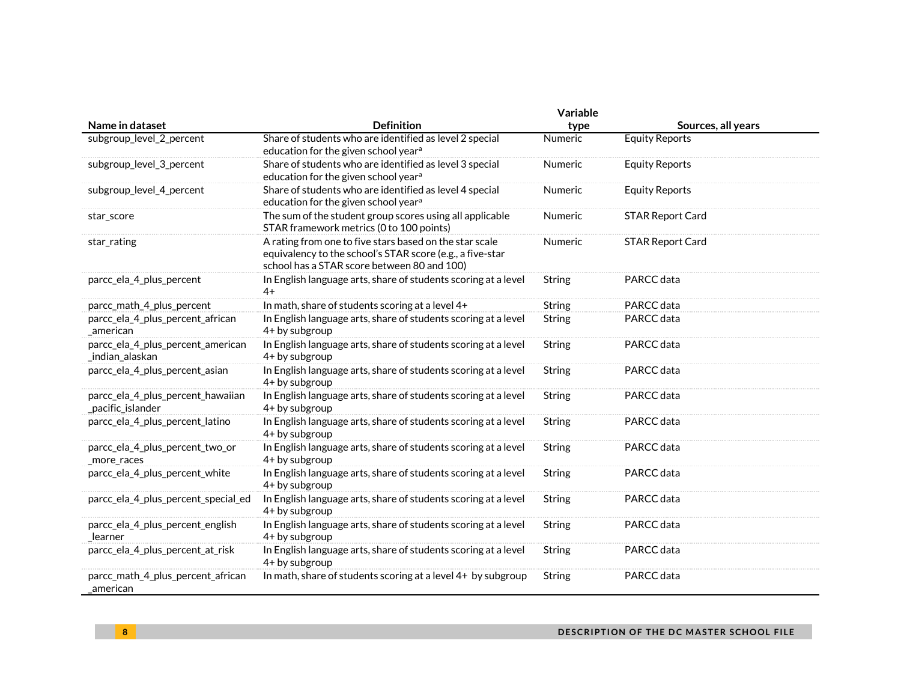|                                                        | Variable                                                                                                                                                            |               |                         |  |
|--------------------------------------------------------|---------------------------------------------------------------------------------------------------------------------------------------------------------------------|---------------|-------------------------|--|
| Name in dataset                                        | <b>Definition</b>                                                                                                                                                   | type          | Sources, all years      |  |
| subgroup_level_2_percent                               | Share of students who are identified as level 2 special<br>education for the given school year <sup>a</sup>                                                         | Numeric       | <b>Equity Reports</b>   |  |
| subgroup_level_3_percent                               | Share of students who are identified as level 3 special<br>education for the given school year <sup>a</sup>                                                         | Numeric       | <b>Equity Reports</b>   |  |
| subgroup_level_4_percent                               | Share of students who are identified as level 4 special<br>education for the given school year <sup>a</sup>                                                         | Numeric       | <b>Equity Reports</b>   |  |
| star_score                                             | The sum of the student group scores using all applicable<br>STAR framework metrics (0 to 100 points)                                                                | Numeric       | <b>STAR Report Card</b> |  |
| star_rating                                            | A rating from one to five stars based on the star scale<br>equivalency to the school's STAR score (e.g., a five-star<br>school has a STAR score between 80 and 100) | Numeric       | <b>STAR Report Card</b> |  |
| parcc_ela_4_plus_percent                               | In English language arts, share of students scoring at a level<br>$4+$                                                                                              | String        | PARCC data              |  |
| parcc_math_4_plus_percent                              | In math, share of students scoring at a level 4+                                                                                                                    | <b>String</b> | PARCC data              |  |
| parcc_ela_4_plus_percent_african<br>american           | In English language arts, share of students scoring at a level<br>4+ by subgroup                                                                                    | <b>String</b> | PARCC data              |  |
| parcc_ela_4_plus_percent_american<br>_indian_alaskan   | In English language arts, share of students scoring at a level<br>4+ by subgroup                                                                                    | String        | PARCC data              |  |
| parcc_ela_4_plus_percent_asian                         | In English language arts, share of students scoring at a level<br>4+ by subgroup                                                                                    | <b>String</b> | PARCC data              |  |
| parcc_ela_4_plus_percent_hawaiian<br>_pacific_islander | In English language arts, share of students scoring at a level<br>4+ by subgroup                                                                                    | String        | PARCC data              |  |
| parcc_ela_4_plus_percent_latino                        | In English language arts, share of students scoring at a level<br>4+ by subgroup                                                                                    | <b>String</b> | PARCC data              |  |
| parcc_ela_4_plus_percent_two_or<br>_more_races         | In English language arts, share of students scoring at a level<br>4+ by subgroup                                                                                    | String        | PARCC data              |  |
| parcc_ela_4_plus_percent_white                         | In English language arts, share of students scoring at a level<br>4+ by subgroup                                                                                    | String        | PARCC data              |  |
| parcc_ela_4_plus_percent_special_ed                    | In English language arts, share of students scoring at a level<br>4+ by subgroup                                                                                    | String        | PARCC data              |  |
| parcc_ela_4_plus_percent_english<br>learner            | In English language arts, share of students scoring at a level<br>4+ by subgroup                                                                                    | String        | PARCC data              |  |
| parcc_ela_4_plus_percent_at_risk                       | In English language arts, share of students scoring at a level<br>4+ by subgroup                                                                                    | String        | PARCC data              |  |
| parcc_math_4_plus_percent_african<br>american          | In math, share of students scoring at a level 4+ by subgroup                                                                                                        | <b>String</b> | PARCC data              |  |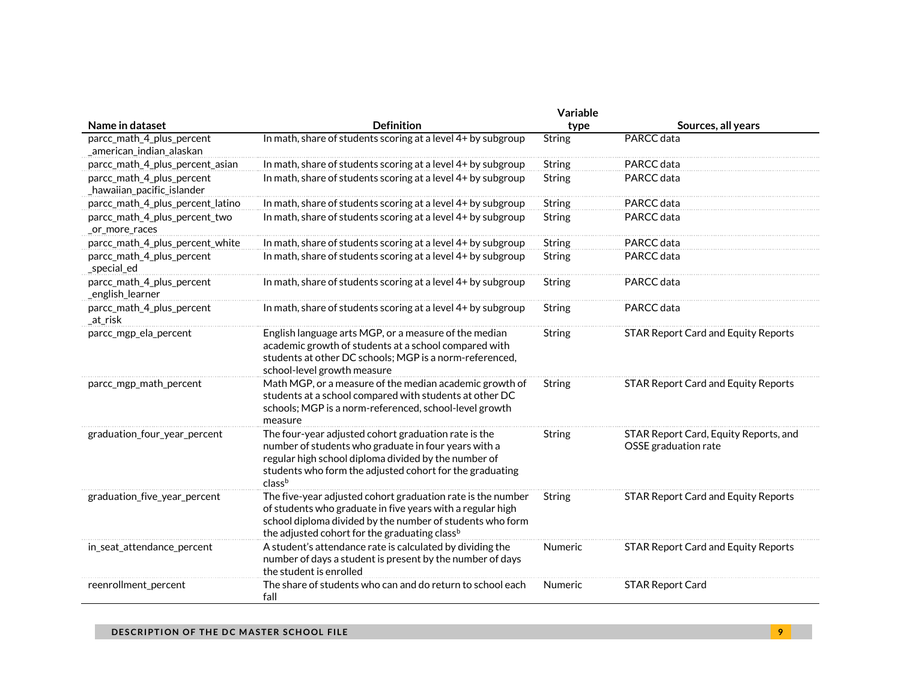|                                                         |                                                                                                                                                                                                                                                     | Variable      |                                                               |
|---------------------------------------------------------|-----------------------------------------------------------------------------------------------------------------------------------------------------------------------------------------------------------------------------------------------------|---------------|---------------------------------------------------------------|
| Name in dataset                                         | <b>Definition</b>                                                                                                                                                                                                                                   | type          | Sources, all years                                            |
| parcc_math_4_plus_percent<br>_american_indian_alaskan   | In math, share of students scoring at a level 4+ by subgroup                                                                                                                                                                                        | <b>String</b> | PARCC data                                                    |
| parcc_math_4_plus_percent_asian                         | In math, share of students scoring at a level 4+ by subgroup                                                                                                                                                                                        | String        | PARCC data                                                    |
| parcc_math_4_plus_percent<br>_hawaiian_pacific_islander | In math, share of students scoring at a level 4+ by subgroup                                                                                                                                                                                        | String        | PARCC data                                                    |
| parcc_math_4_plus_percent_latino                        | In math, share of students scoring at a level 4+ by subgroup                                                                                                                                                                                        | String        | PARCC data                                                    |
| parcc_math_4_plus_percent_two<br>_or_more_races         | In math, share of students scoring at a level 4+ by subgroup                                                                                                                                                                                        | String        | PARCC data                                                    |
| parcc_math_4_plus_percent_white                         | In math, share of students scoring at a level 4+ by subgroup                                                                                                                                                                                        | String        | PARCC data                                                    |
| parcc_math_4_plus_percent<br>_special_ed                | In math, share of students scoring at a level 4+ by subgroup                                                                                                                                                                                        | <b>String</b> | PARCC data                                                    |
| parcc_math_4_plus_percent<br>_english_learner           | In math, share of students scoring at a level 4+ by subgroup                                                                                                                                                                                        | String        | PARCC data                                                    |
| parcc_math_4_plus_percent<br>_at_risk                   | In math, share of students scoring at a level 4+ by subgroup                                                                                                                                                                                        | <b>String</b> | PARCC data                                                    |
| parcc_mgp_ela_percent                                   | English language arts MGP, or a measure of the median<br>academic growth of students at a school compared with<br>students at other DC schools; MGP is a norm-referenced,<br>school-level growth measure                                            | <b>String</b> | <b>STAR Report Card and Equity Reports</b>                    |
| parcc mgp math percent                                  | Math MGP, or a measure of the median academic growth of<br>students at a school compared with students at other DC<br>schools; MGP is a norm-referenced, school-level growth<br>measure                                                             | String        | <b>STAR Report Card and Equity Reports</b>                    |
| graduation_four_year_percent                            | The four-year adjusted cohort graduation rate is the<br>number of students who graduate in four years with a<br>regular high school diploma divided by the number of<br>students who form the adjusted cohort for the graduating<br>classb          | String        | STAR Report Card, Equity Reports, and<br>OSSE graduation rate |
| graduation_five_year_percent                            | The five-year adjusted cohort graduation rate is the number<br>of students who graduate in five years with a regular high<br>school diploma divided by the number of students who form<br>the adjusted cohort for the graduating class <sup>b</sup> | String        | <b>STAR Report Card and Equity Reports</b>                    |
| in_seat_attendance_percent                              | A student's attendance rate is calculated by dividing the<br>number of days a student is present by the number of days<br>the student is enrolled                                                                                                   | Numeric       | <b>STAR Report Card and Equity Reports</b>                    |
| reenrollment_percent                                    | The share of students who can and do return to school each<br>fall                                                                                                                                                                                  | Numeric       | <b>STAR Report Card</b>                                       |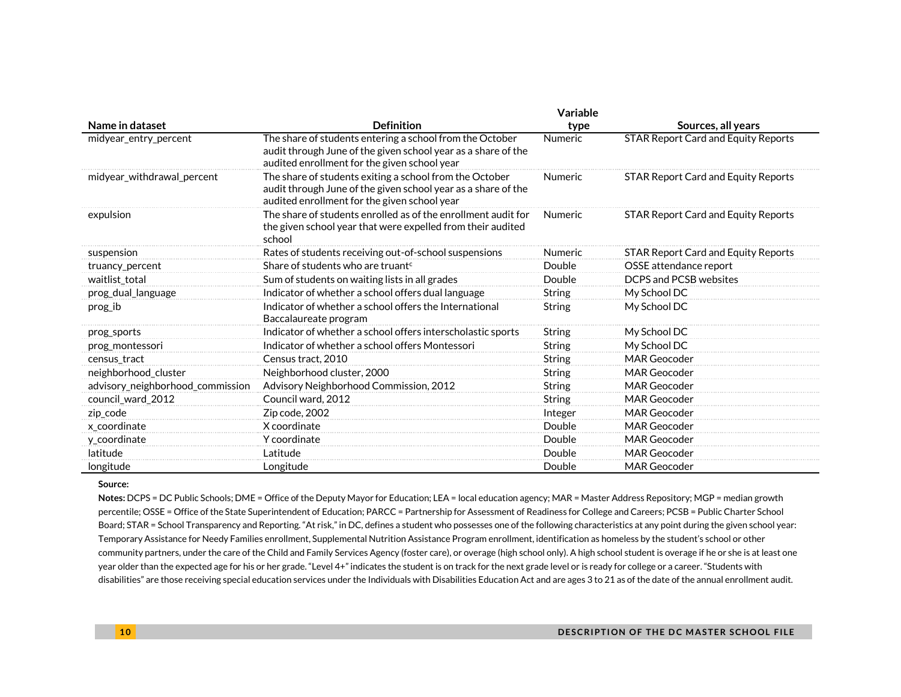|                                  | <b>Variable</b>                                                                                                                                                           |                |                                            |
|----------------------------------|---------------------------------------------------------------------------------------------------------------------------------------------------------------------------|----------------|--------------------------------------------|
| Name in dataset                  | <b>Definition</b>                                                                                                                                                         | type           | Sources, all years                         |
| midyear entry percent            | The share of students entering a school from the October<br>audit through June of the given school year as a share of the<br>audited enrollment for the given school year | <b>Numeric</b> | <b>STAR Report Card and Equity Reports</b> |
| midyear_withdrawal_percent       | The share of students exiting a school from the October<br>audit through June of the given school year as a share of the<br>audited enrollment for the given school year  | <b>Numeric</b> | <b>STAR Report Card and Equity Reports</b> |
| expulsion                        | The share of students enrolled as of the enrollment audit for<br>the given school year that were expelled from their audited<br>school                                    | <b>Numeric</b> | <b>STAR Report Card and Equity Reports</b> |
| suspension                       | Rates of students receiving out-of-school suspensions                                                                                                                     | <b>Numeric</b> | <b>STAR Report Card and Equity Reports</b> |
| truancy_percent                  | Share of students who are truant <sup>c</sup>                                                                                                                             | Double         | OSSE attendance report                     |
| waitlist total                   | Sum of students on waiting lists in all grades                                                                                                                            | Double         | DCPS and PCSB websites                     |
| prog_dual_language               | Indicator of whether a school offers dual language                                                                                                                        | <b>String</b>  | My School DC                               |
| prog_ib                          | Indicator of whether a school offers the International<br>Baccalaureate program                                                                                           | String         | My School DC                               |
| prog_sports                      | Indicator of whether a school offers interscholastic sports                                                                                                               | <b>String</b>  | My School DC                               |
| prog_montessori                  | Indicator of whether a school offers Montessori                                                                                                                           | String         | My School DC                               |
| census_tract                     | Census tract, 2010                                                                                                                                                        | <b>String</b>  | <b>MAR Geocoder</b>                        |
| neighborhood_cluster             | Neighborhood cluster, 2000                                                                                                                                                | String         | <b>MAR Geocoder</b>                        |
| advisory_neighborhood_commission | Advisory Neighborhood Commission, 2012                                                                                                                                    | <b>String</b>  | <b>MAR Geocoder</b>                        |
| council_ward_2012                | Council ward, 2012                                                                                                                                                        | <b>String</b>  | <b>MAR Geocoder</b>                        |
| zip_code                         | Zip code, 2002                                                                                                                                                            | Integer        | <b>MAR Geocoder</b>                        |
| x coordinate                     | X coordinate                                                                                                                                                              | Double         | MAR Geocoder                               |
| y_coordinate                     | Y coordinate                                                                                                                                                              | Double         | <b>MAR Geocoder</b>                        |
| latitude                         | Latitude                                                                                                                                                                  | Double         | <b>MAR Geocoder</b>                        |
| longitude                        | Longitude                                                                                                                                                                 | Double         | <b>MAR Geocoder</b>                        |

#### **Source:**

**Notes:** DCPS = DC Public Schools; DME = Office of the Deputy Mayor for Education; LEA = local education agency; MAR = Master Address Repository; MGP = median growth percentile; OSSE = Office of the State Superintendent of Education; PARCC = Partnership for Assessment of Readiness for College and Careers; PCSB = Public Charter School Board; STAR = School Transparency and Reporting. "At risk," in DC, defines a student who possesses one of the following characteristics at any point during the given school year: Temporary Assistance for Needy Families enrollment, Supplemental Nutrition Assistance Program enrollment, identification as homeless by the student's school or other community partners, under the care of the Child and Family Services Agency (foster care), or overage (high school only). A high school student is overage if he or she is at least one year older than the expected age for his or her grade. "Level 4+" indicates the student is on track for the next grade level or is ready for college or a career. "Students with disabilities" are those receiving special education services under the Individuals with Disabilities Education Act and are ages 3 to 21 as of the date of the annual enrollment audit.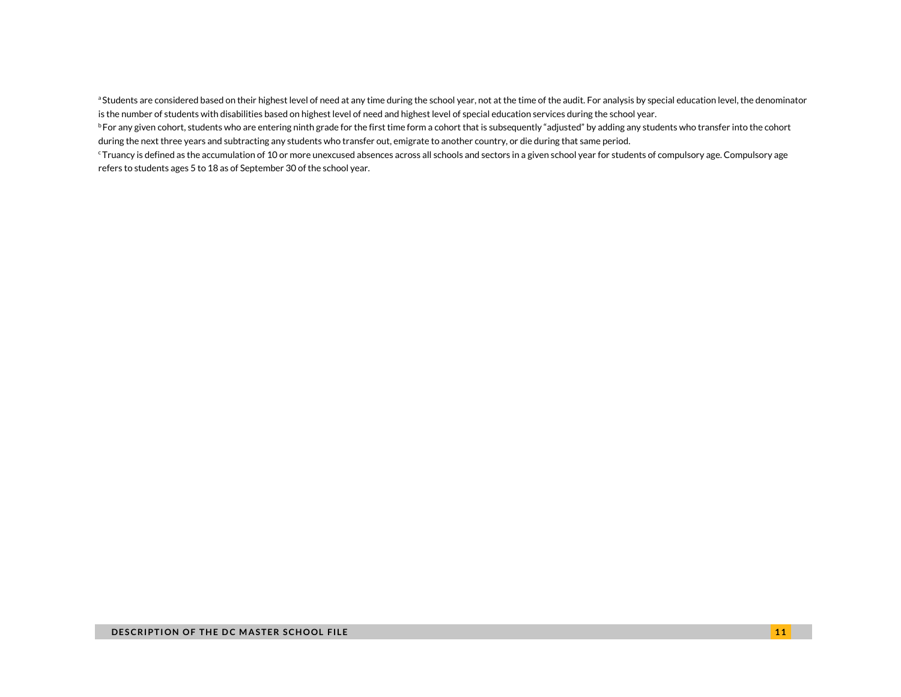aStudents are considered based on their highest level of need at any time during the school year, not at the time of the audit. For analysis by special education level, the denominator is the number of students with disabilities based on highest level of need and highest level of special education services during the school year.

<sup>b</sup> For any given cohort, students who are entering ninth grade for the first time form a cohort that is subsequently "adjusted" by adding any students who transfer into the cohort during the next three years and subtracting any students who transfer out, emigrate to another country, or die during that same period.

<sup>c</sup>Truancy is defined as the accumulation of 10 or more unexcused absences across all schools and sectors in a given school year for students of compulsory age. Compulsory age refers to students ages 5 to 18 as of September 30 of the school year.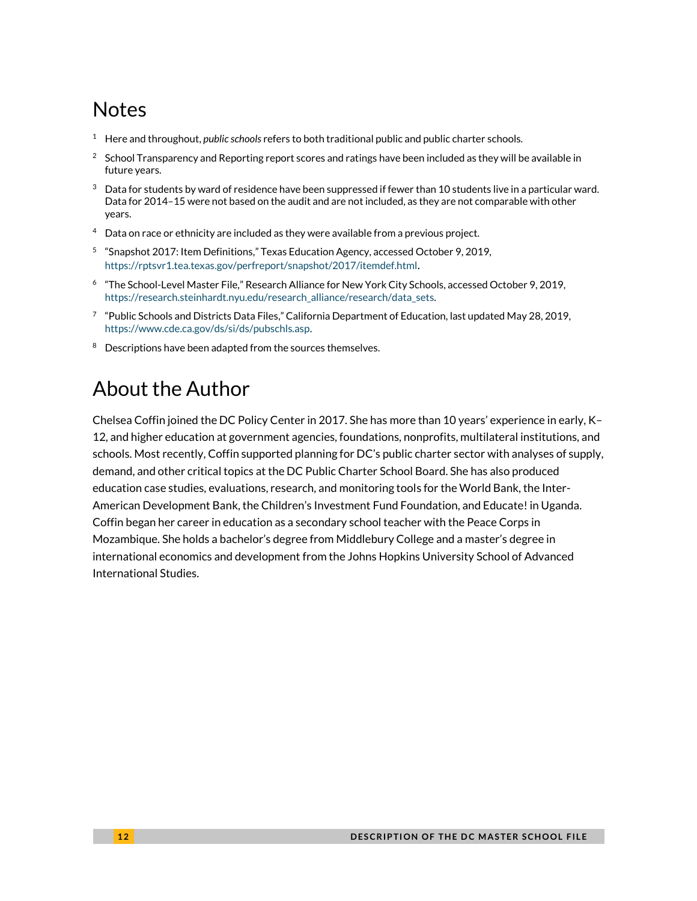# **Notes**

- <sup>1</sup> Here and throughout, *public schools* refers to both traditional public and public charter schools.
- <sup>2</sup> School Transparency and Reporting report scores and ratings have been included as they will be available in future years.
- $3$  Data for students by ward of residence have been suppressed if fewer than 10 students live in a particular ward. Data for 2014–15 were not based on the audit and are not included, as they are not comparable with other years.
- $4$  Data on race or ethnicity are included as they were available from a previous project.
- <sup>5</sup> "Snapshot 2017: Item Definitions," Texas Education Agency, accessed October 9, 2019, <https://rptsvr1.tea.texas.gov/perfreport/snapshot/2017/itemdef.html>.
- 6 "The School-Level Master File," Research Alliance for New York City Schools, accessed October 9, 2019, [https://research.steinhardt.nyu.edu/research\\_alliance/research/data\\_sets.](https://research.steinhardt.nyu.edu/research_alliance/research/data_sets)
- $^7$  "Public Schools and Districts Data Files," California Department of Education, last updated May 28, 2019, [https://www.cde.ca.gov/ds/si/ds/pubschls.asp.](https://www.cde.ca.gov/ds/si/ds/pubschls.asp)
- <sup>8</sup> Descriptions have been adapted from the sources themselves.

# About the Author

Chelsea Coffin joined the DC Policy Center in 2017. She has more than 10 years' experience in early, K– 12, and higher education at government agencies, foundations, nonprofits, multilateral institutions, and schools. Most recently, Coffin supported planning for DC's public charter sector with analyses of supply, demand, and other critical topics at the DC Public Charter School Board. She has also produced education case studies, evaluations, research, and monitoring tools for the World Bank, the Inter-American Development Bank, the Children's Investment Fund Foundation, and Educate! in Uganda. Coffin began her career in education as a secondary school teacher with the Peace Corps in Mozambique. She holds a bachelor's degree from Middlebury College and a master's degree in international economics and development from the Johns Hopkins University School of Advanced International Studies.